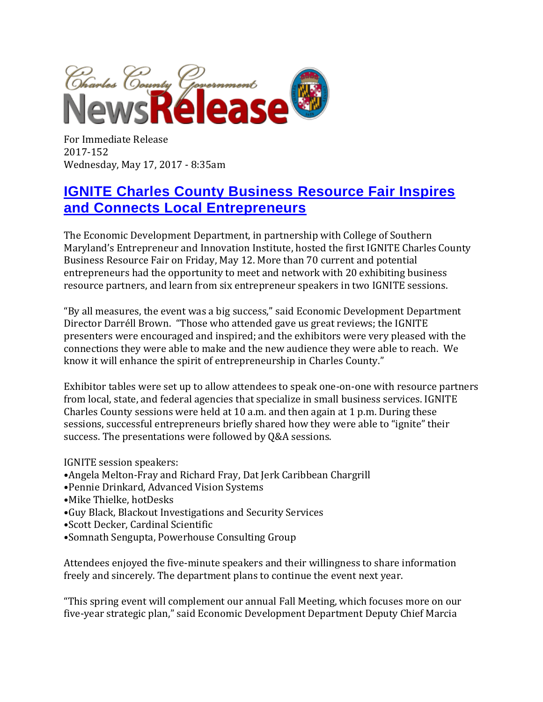

For Immediate Release 2017-152 Wednesday, May 17, 2017 - 8:35am

## **[IGNITE Charles County Business Resource Fair Inspires](https://www.charlescountymd.gov/news-releases/ignite-charles-county-business-resource-fair-inspires-and-connects-local-entrepreneurs)  [and Connects Local Entrepreneurs](https://www.charlescountymd.gov/news-releases/ignite-charles-county-business-resource-fair-inspires-and-connects-local-entrepreneurs)**

The Economic Development Department, in partnership with College of Southern Maryland's Entrepreneur and Innovation Institute, hosted the first IGNITE Charles County Business Resource Fair on Friday, May 12. More than 70 current and potential entrepreneurs had the opportunity to meet and network with 20 exhibiting business resource partners, and learn from six entrepreneur speakers in two IGNITE sessions.

"By all measures, the event was a big success," said Economic Development Department Director Darréll Brown. "Those who attended gave us great reviews; the IGNITE presenters were encouraged and inspired; and the exhibitors were very pleased with the connections they were able to make and the new audience they were able to reach. We know it will enhance the spirit of entrepreneurship in Charles County."

Exhibitor tables were set up to allow attendees to speak one-on-one with resource partners from local, state, and federal agencies that specialize in small business services. IGNITE Charles County sessions were held at 10 a.m. and then again at 1 p.m. During these sessions, successful entrepreneurs briefly shared how they were able to "ignite" their success. The presentations were followed by Q&A sessions.

IGNITE session speakers:

- •Angela Melton-Fray and Richard Fray, Dat Jerk Caribbean Chargrill
- •Pennie Drinkard, Advanced Vision Systems
- •Mike Thielke, hotDesks
- •Guy Black, Blackout Investigations and Security Services
- •Scott Decker, Cardinal Scientific
- •Somnath Sengupta, Powerhouse Consulting Group

Attendees enjoyed the five-minute speakers and their willingness to share information freely and sincerely. The department plans to continue the event next year.

"This spring event will complement our annual Fall Meeting, which focuses more on our five-year strategic plan," said Economic Development Department Deputy Chief Marcia